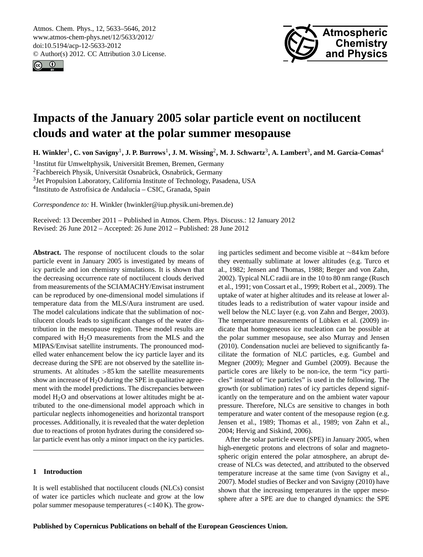<span id="page-0-0"></span>Atmos. Chem. Phys., 12, 5633–5646, 2012 www.atmos-chem-phys.net/12/5633/2012/ doi:10.5194/acp-12-5633-2012 © Author(s) 2012. CC Attribution 3.0 License.





# **Impacts of the January 2005 solar particle event on noctilucent clouds and water at the polar summer mesopause**

 $H$ . Winkler<sup>1</sup>, C. von Savigny<sup>1</sup>, J. P. Burrows<sup>1</sup>, J. M. Wissing<sup>2</sup>, M. J. Schwartz<sup>3</sup>, A. Lambert<sup>3</sup>, and M. García-Comas<sup>4</sup>

<sup>1</sup> Institut für Umweltphysik, Universität Bremen, Bremen, Germany <sup>2</sup>Fachbereich Physik, Universität Osnabrück, Osnabrück, Germany <sup>3</sup> Jet Propulsion Laboratory, California Institute of Technology, Pasadena, USA <sup>4</sup>Instituto de Astrofísica de Andalucía - CSIC, Granada, Spain

*Correspondence to:* H. Winkler (hwinkler@iup.physik.uni-bremen.de)

Received: 13 December 2011 – Published in Atmos. Chem. Phys. Discuss.: 12 January 2012 Revised: 26 June 2012 – Accepted: 26 June 2012 – Published: 28 June 2012

**Abstract.** The response of noctilucent clouds to the solar particle event in January 2005 is investigated by means of icy particle and ion chemistry simulations. It is shown that the decreasing occurrence rate of noctilucent clouds derived from measurements of the SCIAMACHY/Envisat instrument can be reproduced by one-dimensional model simulations if temperature data from the MLS/Aura instrument are used. The model calculations indicate that the sublimation of noctilucent clouds leads to significant changes of the water distribution in the mesopause region. These model results are compared with  $H<sub>2</sub>O$  measurements from the MLS and the MIPAS/Envisat satellite instruments. The pronounced modelled water enhancement below the icy particle layer and its decrease during the SPE are not observed by the satellite instruments. At altitudes >85 km the satellite measurements show an increase of  $H_2O$  during the SPE in qualitative agreement with the model predictions. The discrepancies between model H<sub>2</sub>O and observations at lower altitudes might be attributed to the one-dimensional model approach which in particular neglects inhomogeneities and horizontal transport processes. Additionally, it is revealed that the water depletion due to reactions of proton hydrates during the considered solar particle event has only a minor impact on the icy particles.

# **1 Introduction**

It is well established that noctilucent clouds (NLCs) consist of water ice particles which nucleate and grow at the low polar summer mesopause temperatures  $(<140 K)$ . The growing particles sediment and become visible at ∼84 km before they eventually sublimate at lower altitudes (e.g. [Turco et](#page-12-0) [al.,](#page-12-0) [1982;](#page-12-0) [Jensen and Thomas,](#page-11-0) [1988;](#page-11-0) [Berger and von Zahn,](#page-10-0) [2002\)](#page-10-0). Typical NLC radii are in the 10 to 80 nm range [\(Rusch](#page-12-1) [et al.,](#page-12-1) [1991;](#page-12-1) [von Cossart et al.,](#page-12-2) [1999;](#page-12-2) [Robert et al.,](#page-12-3) [2009\)](#page-12-3). The uptake of water at higher altitudes and its release at lower altitudes leads to a redistribution of water vapour inside and well below the NLC layer (e.g. [von Zahn and Berger,](#page-12-4) [2003\)](#page-12-4). The temperature measurements of Lübken et al. [\(2009\)](#page-11-1) indicate that homogeneous ice nucleation can be possible at the polar summer mesopause, see also [Murray and Jensen](#page-11-2) [\(2010\)](#page-11-2). Condensation nuclei are believed to significantly facilitate the formation of NLC particles, e.g. [Gumbel and](#page-11-3) [Megner](#page-11-3) [\(2009\)](#page-11-3); [Megner and Gumbel](#page-11-4) [\(2009\)](#page-11-4). Because the particle cores are likely to be non-ice, the term "icy particles" instead of "ice particles" is used in the following. The growth (or sublimation) rates of icy particles depend significantly on the temperature and on the ambient water vapour pressure. Therefore, NLCs are sensitive to changes in both temperature and water content of the mesopause region (e.g. [Jensen et al.,](#page-11-5) [1989;](#page-11-5) [Thomas et al.,](#page-12-5) [1989;](#page-12-5) [von Zahn et al.,](#page-12-6) [2004;](#page-12-6) [Hervig and Siskind,](#page-11-6) [2006\)](#page-11-6).

After the solar particle event (SPE) in January 2005, when high-energetic protons and electrons of solar and magnetospheric origin entered the polar atmosphere, an abrupt decrease of NLCs was detected, and attributed to the observed temperature increase at the same time [\(von Savigny et al.,](#page-12-7) [2007\)](#page-12-7). Model studies of [Becker and von Savigny](#page-10-1) [\(2010\)](#page-10-1) have shown that the increasing temperatures in the upper mesosphere after a SPE are due to changed dynamics: the SPE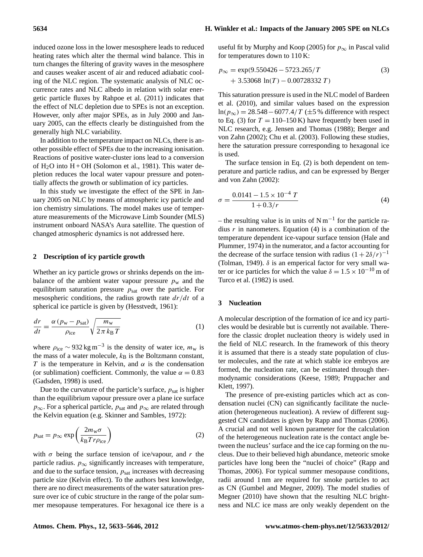# **5634 H. Winkler et al.: Impacts of the January 2005 SPE on NLCs**

induced ozone loss in the lower mesosphere leads to reduced heating rates which alter the thermal wind balance. This in turn changes the filtering of gravity waves in the mesosphere and causes weaker ascent of air and reduced adiabatic cooling of the NLC region. The systematic analysis of NLC occurrence rates and NLC albedo in relation with solar energetic particle fluxes by [Rahpoe et al.](#page-11-7) [\(2011\)](#page-11-7) indicates that the effect of NLC depletion due to SPEs is not an exception. However, only after major SPEs, as in July 2000 and January 2005, can the effects clearly be distinguished from the generally high NLC variability.

In addition to the temperature impact on NLCs, there is another possible effect of SPEs due to the increasing ionisation. Reactions of positive water-cluster ions lead to a conversion of  $H_2O$  into  $H + OH$  [\(Solomon et al.,](#page-12-8) [1981\)](#page-12-8). This water depletion reduces the local water vapour pressure and potentially affects the growth or sublimation of icy particles.

In this study we investigate the effect of the SPE in January 2005 on NLC by means of atmospheric icy particle and ion chemistry simulations. The model makes use of temperature measurements of the Microwave Limb Sounder (MLS) instrument onboard NASA's Aura satellite. The question of changed atmospheric dynamics is not addressed here.

#### **2 Description of icy particle growth**

Whether an icy particle grows or shrinks depends on the imbalance of the ambient water vapour pressure  $p_w$  and the equilibrium saturation pressure  $p_{\text{sat}}$  over the particle. For mesospheric conditions, the radius growth rate  $dr/dt$  of a spherical ice particle is given by [\(Hesstvedt,](#page-11-8) [1961\)](#page-11-8):

$$
\frac{dr}{dt} = \frac{\alpha (p_{\rm w} - p_{\rm sat})}{\rho_{\rm ice}} \sqrt{\frac{m_{\rm w}}{2 \pi k_{\rm B} T}}
$$
(1)

where  $\rho_{\text{ice}} \sim 932 \text{ kg m}^{-3}$  is the density of water ice,  $m_{\text{w}}$  is the mass of a water molecule,  $k_B$  is the Boltzmann constant, T is the temperature in Kelvin, and  $\alpha$  is the condensation (or sublimation) coefficient. Commonly, the value  $\alpha = 0.83$ [\(Gadsden,](#page-11-9) [1998\)](#page-11-9) is used.

Due to the curvature of the particle's surface,  $p_{\text{sat}}$  is higher than the equilibrium vapour pressure over a plane ice surface  $p_{\infty}$ . For a spherical particle,  $p_{\text{sat}}$  and  $p_{\infty}$  are related through the Kelvin equation (e.g. [Skinner and Sambles,](#page-12-9) [1972\)](#page-12-9):

$$
p_{\text{sat}} = p_{\infty} \exp\left(\frac{2m_{\text{w}}\sigma}{k_{\text{B}}Tr\rho_{\text{ice}}}\right) \tag{2}
$$

with  $\sigma$  being the surface tension of ice/vapour, and r the particle radius.  $p_{\infty}$  significantly increases with temperature, and due to the surface tension,  $p_{\text{sat}}$  increases with decreasing particle size (Kelvin effect). To the authors best knowledge, there are no direct measurements of the water saturation pressure over ice of cubic structure in the range of the polar summer mesopause temperatures. For hexagonal ice there is a useful fit by [Murphy and Koop](#page-11-10) [\(2005\)](#page-11-10) for  $p_{\infty}$  in Pascal valid for temperatures down to 110 K:

<span id="page-1-0"></span>
$$
p_{\infty} = \exp(9.550426 - 5723.265/T + 3.53068 \ln(T) - 0.00728332 T)
$$
 (3)

This saturation pressure is used in the NLC model of [Bardeen](#page-10-2) [et al.](#page-10-2) [\(2010\)](#page-10-2), and similar values based on the expression ln( $p_{\infty}$ ) = 28.548 − 6077.4/T ( $\pm$ 5 % difference with respect to Eq. [\(3\)](#page-1-0) for  $T = 110-150$  K) have frequently been used in NLC research, e.g. [Jensen and Thomas](#page-11-0) [\(1988\)](#page-11-0); [Berger and](#page-10-0) [von Zahn](#page-10-0) [\(2002\)](#page-10-0); [Chu et al.](#page-10-3) [\(2003\)](#page-10-3). Following these studies, here the saturation pressure corresponding to hexagonal ice is used.

<span id="page-1-2"></span>The surface tension in Eq. [\(2\)](#page-1-1) is both dependent on temperature and particle radius, and can be expressed by [Berger](#page-10-0) [and von Zahn](#page-10-0) [\(2002\)](#page-10-0):

$$
\sigma = \frac{0.0141 - 1.5 \times 10^{-4} T}{1 + 0.3/r}
$$
\n(4)

– the resulting value is in units of  $Nm^{-1}$  for the particle radius  $r$  in nanometers. Equation [\(4\)](#page-1-2) is a combination of the temperature dependent ice-vapour surface tension [\(Hale and](#page-11-11) [Plummer,](#page-11-11) [1974\)](#page-11-11) in the numerator, and a factor accounting for the decrease of the surface tension with radius  $(1 + 2\delta/r)^{-1}$ [\(Tolman,](#page-12-10) [1949\)](#page-12-10).  $\delta$  is an emperical factor for very small water or ice particles for which the value  $\delta = 1.5 \times 10^{-10}$  m of [Turco et al.](#page-12-0) [\(1982\)](#page-12-0) is used.

## <span id="page-1-4"></span><span id="page-1-3"></span>**3 Nucleation**

A molecular description of the formation of ice and icy particles would be desirable but is currently not available. Therefore the classic droplet nucleation theory is widely used in the field of NLC research. In the framework of this theory it is assumed that there is a steady state population of cluster molecules, and the rate at which stable ice embryos are formed, the nucleation rate, can be estimated through thermodynamic considerations [\(Keese,](#page-11-12) [1989;](#page-11-12) [Pruppacher and](#page-11-13) [Klett,](#page-11-13) [1997\)](#page-11-13).

<span id="page-1-1"></span>The presence of pre-existing particles which act as condensation nuclei (CN) can significantly facilitate the nucleation (heterogeneous nucleation). A review of different suggested CN candidates is given by [Rapp and Thomas](#page-12-11) [\(2006\)](#page-12-11). A crucial and not well known parameter for the calculation of the heterogeneous nucleation rate is the contact angle between the nucleus' surface and the ice cap forming on the nucleus. Due to their believed high abundance, meteoric smoke particles have long been the "nuclei of choice" [\(Rapp and](#page-12-11) [Thomas,](#page-12-11) [2006\)](#page-12-11). For typical summer mesopause conditions, radii around 1 nm are required for smoke particles to act as CN [\(Gumbel and Megner,](#page-11-3) [2009\)](#page-11-3). The model studies of [Megner](#page-11-14) [\(2010\)](#page-11-14) have shown that the resulting NLC brightness and NLC ice mass are only weakly dependent on the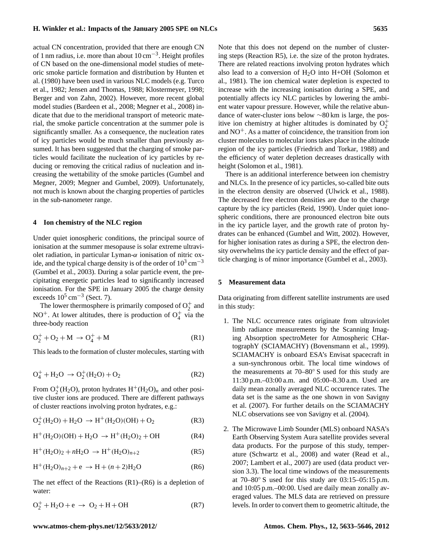actual CN concentration, provided that there are enough CN of 1 nm radius, i.e. more than about  $10 \text{ cm}^{-3}$ . Height profiles of CN based on the one-dimensional model studies of meteoric smoke particle formation and distribution by [Hunten et](#page-11-15) [al.](#page-11-15) [\(1980\)](#page-11-15) have been used in various NLC models (e.g. [Turco](#page-12-0) [et al.,](#page-12-0) [1982;](#page-12-0) [Jensen and Thomas,](#page-11-0) [1988;](#page-11-0) [Klostermeyer,](#page-11-16) [1998;](#page-11-16) [Berger and von Zahn,](#page-10-0) [2002\)](#page-10-0). However, more recent global model studies [\(Bardeen et al.,](#page-10-4) [2008;](#page-10-4) [Megner et al.,](#page-11-17) [2008\)](#page-11-17) indicate that due to the meridional transport of meteoric material, the smoke particle concentration at the summer pole is significantly smaller. As a consequence, the nucleation rates of icy particles would be much smaller than previously assumed. It has been suggested that the charging of smoke particles would facilitate the nucleation of icy particles by reducing or removing the critical radius of nucleation and increasing the wettability of the smoke particles [\(Gumbel and](#page-11-3) [Megner,](#page-11-3) [2009;](#page-11-3) [Megner and Gumbel,](#page-11-4) [2009\)](#page-11-4). Unfortunately, not much is known about the charging properties of particles in the sub-nanometer range.

#### **4 Ion chemistry of the NLC region**

Under quiet ionospheric conditions, the principal source of ionisation at the summer mesopause is solar extreme ultraviolet radiation, in particular Lyman- $\alpha$  ionisation of nitric oxide, and the typical charge density is of the order of  $10^3 \text{ cm}^{-3}$ [\(Gumbel et al.,](#page-11-18) [2003\)](#page-11-18). During a solar particle event, the precipitating energetic particles lead to significantly increased ionisation. For the SPE in January 2005 the charge density exceeds  $10^5$  cm<sup>-3</sup> (Sect. [7\)](#page-5-0).

The lower thermosphere is primarily composed of  $O_2^+$  and NO<sup>+</sup>. At lower altitudes, there is production of  $O_4^+$  via the three-body reaction

<span id="page-2-0"></span>
$$
O_2^+ + O_2 + M \to O_4^+ + M \tag{R1}
$$

This leads to the formation of cluster molecules, starting with

$$
O_4^+ + H_2O \to O_2^+(H_2O) + O_2 \tag{R2}
$$

From  $O_2^+(H_2O)$ , proton hydrates  $H^+(H_2O)_n$  and other positive cluster ions are produced. There are different pathways of cluster reactions involving proton hydrates, e.g.:

$$
O_2^+(H_2O) + H_2O \to H^+(H_2O)(OH) + O_2
$$
 (R3)

$$
H^{+}(H_{2}O)(OH) + H_{2}O \rightarrow H^{+}(H_{2}O)_{2} + OH
$$
 (R4)

<span id="page-2-2"></span>
$$
H^{+}(H_{2}O)_{2} + nH_{2}O \rightarrow H^{+}(H_{2}O)_{n+2}
$$
 (R5)

<span id="page-2-1"></span>
$$
H^{+}(H_{2}O)_{n+2} + e \rightarrow H + (n+2)H_{2}O
$$
 (R6)

The net effect of the Reactions [\(R1\)](#page-2-0)–[\(R6\)](#page-2-1) is a depletion of water:

$$
O_2^+ + H_2O + e \rightarrow O_2 + H + OH \tag{R7}
$$

Note that this does not depend on the number of clustering steps (Reaction [R5\)](#page-2-2), i.e. the size of the proton hydrates. There are related reactions involving proton hydrates which also lead to a conversion of  $H_2O$  into  $H+OH$  [\(Solomon et](#page-12-8) [al.,](#page-12-8) [1981\)](#page-12-8). The ion chemical water depletion is expected to increase with the increasing ionisation during a SPE, and potentially affects icy NLC particles by lowering the ambient water vapour pressure. However, while the relative abundance of water-cluster ions below ∼80 km is large, the positive ion chemistry at higher altitudes is dominated by  $O_2^+$ and  $NO<sup>+</sup>$ . As a matter of coincidence, the transition from ion cluster molecules to molecular ions takes place in the altitude region of the icy particles [\(Friedrich and Torkar,](#page-11-19) [1988\)](#page-11-19) and the efficiency of water depletion decreases drastically with height [\(Solomon et al.,](#page-12-8) [1981\)](#page-12-8).

There is an additional interference between ion chemistry and NLCs. In the presence of icy particles, so-called bite outs in the electron density are observed [\(Ulwick et al.,](#page-12-12) [1988\)](#page-12-12). The decreased free electron densities are due to the charge capture by the icy particles [\(Reid,](#page-12-13) [1990\)](#page-12-13). Under quiet ionospheric conditions, there are pronounced electron bite outs in the icy particle layer, and the growth rate of proton hydrates can be enhanced [\(Gumbel and Witt,](#page-11-20) [2002\)](#page-11-20). However, for higher ionisation rates as during a SPE, the electron density overwhelms the icy particle density and the effect of particle charging is of minor importance [\(Gumbel et al.,](#page-11-18) [2003\)](#page-11-18).

#### <span id="page-2-3"></span>**5 Measurement data**

Data originating from different satellite instruments are used in this study:

- 1. The NLC occurrence rates originate from ultraviolet limb radiance measurements by the Scanning Imaging Absorption spectroMeter for Atmospheric CHartographY (SCIAMACHY) [\(Bovensmann et al.,](#page-10-5) [1999\)](#page-10-5). SCIAMACHY is onboard ESA's Envisat spacecraft in a sun-synchronous orbit. The local time windows of the measurements at 70–80◦ S used for this study are 11:30 p.m.–03:00 a.m. and 05:00–8.30 a.m. Used are daily mean zonally averaged NLC occurence rates. The data set is the same as the one shown in [von Savigny](#page-12-7) [et al.](#page-12-7) [\(2007\)](#page-12-7). For further details on the SCIAMACHY NLC observations see [von Savigny et al.](#page-12-14) [\(2004\)](#page-12-14).
- 2. The Microwave Limb Sounder (MLS) onboard NASA's Earth Observing System Aura satellite provides several data products. For the purpose of this study, temperature [\(Schwartz et al.,](#page-12-15) [2008\)](#page-12-15) and water [\(Read et al.,](#page-12-16) [2007;](#page-12-16) [Lambert et al.,](#page-11-21) [2007\)](#page-11-21) are used (data product version 3.3). The local time windows of the measurements at  $70-80°$  S used for this study are  $03:15-05:15$  p.m. and 10:05 p.m.–00:00. Used are daily mean zonally averaged values. The MLS data are retrieved on pressure levels. In order to convert them to geometric altitude, the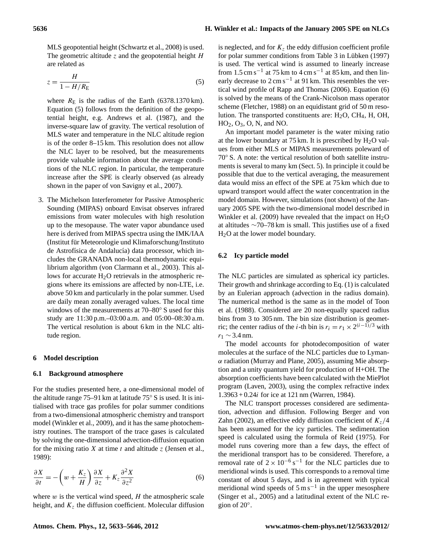MLS geopotential height [\(Schwartz et al.,](#page-12-15) [2008\)](#page-12-15) is used. The geometric altitude  $\zeta$  and the geopotential height  $H$ are related as

<span id="page-3-0"></span>
$$
z = \frac{H}{1 - H/R_{\rm E}}\tag{5}
$$

where  $R_{\rm E}$  is the radius of the Earth (6378.1370 km). Equation [\(5\)](#page-3-0) follows from the definition of the geopotential height, e.g. [Andrews et al.](#page-10-6) [\(1987\)](#page-10-6), and the inverse-square law of gravity. The vertical resolution of MLS water and temperature in the NLC altitude region is of the order 8–15 km. This resolution does not allow the NLC layer to be resolved, but the measurements provide valuable information about the average conditions of the NLC region. In particular, the temperature increase after the SPE is clearly observed (as already shown in the paper of [von Savigny et al.,](#page-12-7) [2007\)](#page-12-7).

3. The Michelson Interferometer for Passive Atmospheric Sounding (MIPAS) onboard Envisat observes infrared emissions from water molecules with high resolution up to the mesopause. The water vapor abundance used here is derived from MIPAS spectra using the IMK/IAA (Institut fur Meteorologie und Klimaforschung/Instituto ¨ de Astrofísica de Andalucía) data processor, which includes the GRANADA non-local thermodynamic equilibrium algorithm [\(von Clarmann et al.,](#page-12-17) [2003\)](#page-12-17). This allows for accurate  $H<sub>2</sub>O$  retrievals in the atmospheric regions where its emissions are affected by non-LTE, i.e. above 50 km and particularly in the polar summer. Used are daily mean zonally averaged values. The local time windows of the measurements at 70–80◦ S used for this study are 11:30 p.m.–03:00 a.m. and 05:00–08:30 a.m. The vertical resolution is about 6 km in the NLC altitude region.

#### **6 Model description**

#### **6.1 Background atmosphere**

For the studies presented here, a one-dimensional model of the altitude range 75–91 km at latitude 75◦ S is used. It is initialised with trace gas profiles for polar summer conditions from a two-dimensional atmospheric chemistry and transport model [\(Winkler et al.,](#page-12-18) [2009\)](#page-12-18), and it has the same photochemistry routines. The transport of the trace gases is calculated by solving the one-dimensional advection-diffusion equation for the mixing ratio X at time t and altitude z [\(Jensen et al.,](#page-11-5) [1989\)](#page-11-5):

<span id="page-3-1"></span>
$$
\frac{\partial X}{\partial t} = -\left(w + \frac{K_z}{H}\right)\frac{\partial X}{\partial z} + K_z \frac{\partial^2 X}{\partial z^2}
$$
(6)

where  $w$  is the vertical wind speed,  $H$  the atmospheric scale height, and  $K<sub>z</sub>$  the diffusion coefficient. Molecular diffusion is neglected, and for  $K<sub>z</sub>$  the eddy diffusion coefficient profile for polar summer conditions from Table  $3$  in Lübken  $(1997)$ is used. The vertical wind is assumed to linearly increase from 1.5 cm s<sup>-1</sup> at 75 km to 4 cm s<sup>-1</sup> at 85 km, and then linearly decrease to  $2 \text{ cm s}^{-1}$  at 91 km. This resembles the vertical wind profile of [Rapp and Thomas](#page-12-11) [\(2006\)](#page-12-11). Equation [\(6\)](#page-3-1) is solved by the means of the Crank-Nicolson mass operator scheme [\(Fletcher,](#page-11-23) [1988\)](#page-11-23) on an equidistant grid of 50 m resolution. The transported constituents are:  $H<sub>2</sub>O$ , CH<sub>4</sub>, H, OH, HO2, O3, O, N, and NO.

An important model parameter is the water mixing ratio at the lower boundary at 75 km. It is prescribed by  $H_2O$  values from either MLS or MIPAS measurements poleward of 70◦ S. A note: the vertical resolution of both satellite instruments is several to many km (Sect. [5\)](#page-2-3). In principle it could be possible that due to the vertical averaging, the measurement data would miss an effect of the SPE at 75 km which due to upward transport would affect the water concentration in the model domain. However, simulations (not shown) of the January 2005 SPE with the two-dimensional model described in [Winkler et al.](#page-12-18) [\(2009\)](#page-12-18) have revealed that the impact on  $H_2O$ at altitudes ∼70–78 km is small. This justifies use of a fixed H2O at the lower model boundary.

### <span id="page-3-2"></span>**6.2 Icy particle model**

The NLC particles are simulated as spherical icy particles. Their growth and shrinkage according to Eq. [\(1\)](#page-1-3) is calculated by an Eulerian approach (advection in the radius domain). The numerical method is the same as in the model of [Toon](#page-12-19) [et al.](#page-12-19) [\(1988\)](#page-12-19). Considered are 20 non-equally spaced radius bins from 3 to 305 nm. The bin size distribution is geometric; the center radius of the *i*-th bin is  $r_i = r_1 \times 2^{(i-1)/3}$  with  $r_1 \sim 3.4$  nm.

The model accounts for photodecomposition of water molecules at the surface of the NLC particles due to Lyman- $\alpha$  radiation [\(Murray and Plane,](#page-11-24) [2005\)](#page-11-24), assuming Mie absorption and a unity quantum yield for production of H+OH. The absorption coefficients have been calculated with the MiePlot program [\(Laven,](#page-11-25) [2003\)](#page-11-25), using the complex refractive index  $1.3963 + 0.24i$  for ice at 121 nm [\(Warren,](#page-12-20) [1984\)](#page-12-20).

The NLC transport processes considered are sedimentation, advection and diffusion. Following [Berger and von](#page-10-0) [Zahn](#page-10-0) [\(2002\)](#page-10-0), an effective eddy diffusion coefficient of  $K_z/4$ has been assumed for the icy particles. The sedimentation speed is calculated using the formula of [Reid](#page-12-21) [\(1975\)](#page-12-21). For model runs covering more than a few days, the effect of the meridional transport has to be considered. Therefore, a removal rate of  $2 \times 10^{-6}$  s<sup>-1</sup> for the NLC particles due to meridional winds is used. This corresponds to a removal time constant of about 5 days, and is in agreement with typical meridional wind speeds of  $5 \text{ m s}^{-1}$  in the upper mesosphere [\(Singer et al.,](#page-12-22) [2005\)](#page-12-22) and a latitudinal extent of the NLC region of 20◦ .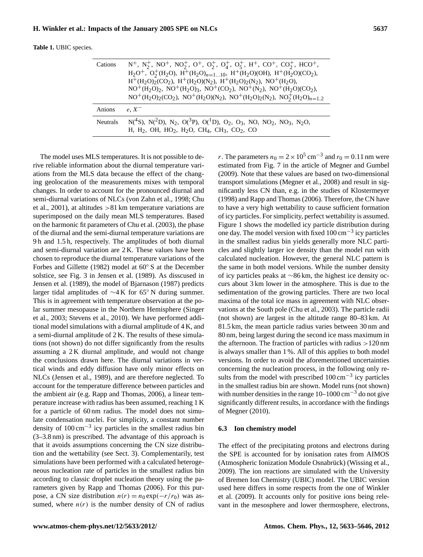<span id="page-4-1"></span>

|  |  |  | <b>Table 1. UBIC</b> species. |
|--|--|--|-------------------------------|
|--|--|--|-------------------------------|

| Cations         | $N^+$ , $N_2^+$ , $NO_2^+$ , $NO_2^+$ , $O_2^+$ , $O_2^+$ , $O_3^+$ , $O_5^+$ , $H^+$ , $CO^+$ , $CO_2^+$ , $HCO^+$ ,<br>$H_2O^+$ , $O_2^+(H_2O)$ , $H^+(H_2O)_{n=110}$ , $H^+(H_2O)(OH)$ , $H^+(H_2O)(CO_2)$ ,<br>$H^+(H_2O)_2(CO_2)$ , $H^+(H_2O)(N_2)$ , $H^+(H_2O)_2(N_2)$ , $NO^+(H_2O)$ ,<br>$NO^+(H_2O)_2$ , $NO^+(H_2O)_3$ , $NO^+(CO_2)$ , $NO^+(N_2)$ , $NO^+(H_2O)(CO_2)$ ,<br>$NO^+(H_2O)_2(CO_2)$ , $NO^+(H_2O)(N_2)$ , $NO^+(H_2O)_2(N_2)$ , $NO^+(H_2O)_{n=1,2}$ |
|-----------------|---------------------------------------------------------------------------------------------------------------------------------------------------------------------------------------------------------------------------------------------------------------------------------------------------------------------------------------------------------------------------------------------------------------------------------------------------------------------------------|
| Anions          | $e, X^-$                                                                                                                                                                                                                                                                                                                                                                                                                                                                        |
| <b>Neutrals</b> | $N(^{4}S)$ , $N(^{2}D)$ , $N_2$ , $O(^{3}P)$ , $O(^{1}D)$ , $O_2$ , $O_3$ , $NO$ , $NO_2$ , $NO_3$ , $N_2O$ ,<br>H, H <sub>2</sub> , OH, HO <sub>2</sub> , H <sub>2</sub> O, CH <sub>4</sub> , CH <sub>3</sub> , CO <sub>2</sub> , CO                                                                                                                                                                                                                                           |

The model uses MLS temperatures. It is not possible to derive reliable information about the diurnal temperature variations from the MLS data because the effect of the changing geolocation of the measurements mixes with temporal changes. In order to account for the pronounced diurnal and semi-diurnal variations of NLCs [\(von Zahn et al.,](#page-12-23) [1998;](#page-12-23) [Chu](#page-10-7) [et al.,](#page-10-7) [2001\)](#page-10-7), at altitudes >81 km temperature variations are superimposed on the daily mean MLS temperatures. Based on the harmonic fit parameters of [Chu et al.](#page-10-3) [\(2003\)](#page-10-3), the phase of the diurnal and the semi-diurnal temperature variations are 9 h and 1.5 h, respectively. The amplitudes of both diurnal and semi-diurnal variation are 2 K. These values have been chosen to reproduce the diurnal temperature variations of the [Forbes and Gillette](#page-11-26) [\(1982\)](#page-11-26) model at 60◦ S at the December solstice, see Fig. 3 in [Jensen et al.](#page-11-5) [\(1989\)](#page-11-5). As disscused in [Jensen et al.](#page-11-5) [\(1989\)](#page-11-5), the model of [Bjarnason](#page-10-8) [\(1987\)](#page-10-8) predicts larger tidal amplitudes of ∼4 K for 65◦ N during summer. This is in agreement with temperature observation at the polar summer mesopause in the Northern Hemisphere [\(Singer](#page-12-24) [et al.,](#page-12-24) [2003;](#page-12-24) [Stevens et al.,](#page-12-25) [2010\)](#page-12-25). We have performed additional model simulations with a diurnal amplitude of 4 K, and a semi-diurnal amplitude of 2 K. The results of these simulations (not shown) do not differ significantly from the results assuming a 2 K diurnal amplitude, and would not change the conclusions drawn here. The diurnal variations in vertical winds and eddy diffusion have only minor effects on NLCs [\(Jensen et al.,](#page-11-5) [1989\)](#page-11-5), and are therefore neglected. To account for the temperature difference between particles and the ambient air (e.g. [Rapp and Thomas,](#page-12-11) [2006\)](#page-12-11), a linear temperature increase with radius has been assumed, reaching 1 K for a particle of 60 nm radius. The model does not simulate condensation nuclei. For simplicity, a constant number density of 100 cm−<sup>3</sup> icy particles in the smallest radius bin (3–3.8 nm) is prescribed. The advantage of this approach is that it avoids assumptions concerning the CN size distribution and the wettability (see Sect. [3\)](#page-1-4). Complementarily, test simulations have been performed with a calculated heterogeneous nucleation rate of particles in the smallest radius bin according to classic droplet nucleation theory using the parameters given by [Rapp and Thomas](#page-12-11) [\(2006\)](#page-12-11). For this purpose, a CN size distribution  $n(r) = n_0 \exp(-r/r_0)$  was assumed, where  $n(r)$  is the number density of CN of radius

r. The parameters  $n_0 = 2 \times 10^5$  cm<sup>-3</sup> and  $r_0 = 0.11$  nm were estimated from Fig. 7 in the article of [Megner and Gumbel](#page-11-4) [\(2009\)](#page-11-4). Note that these values are based on two-dimensional transport simulations [\(Megner et al.,](#page-11-17) [2008\)](#page-11-17) and result in significantly less CN than, e.g. in the studies of [Klostermeyer](#page-11-16) [\(1998\)](#page-11-16) and [Rapp and Thomas\(2006\)](#page-12-11). Therefore, the CN have to have a very high wettability to cause sufficient formation of icy particles. For simplicity, perfect wettability is assumed. Figure [1](#page-5-1) shows the modelled icy particle distribution during one day. The model version with fixed 100 cm−<sup>3</sup> icy particles in the smallest radius bin yields generally more NLC particles and slightly larger ice density than the model run with calculated nucleation. However, the general NLC pattern is the same in both model versions. While the number density of icy particles peaks at ∼86 km, the highest ice density occurs about 3 km lower in the atmosphere. This is due to the sedimentation of the growing particles. There are two local maxima of the total ice mass in agreement with NLC observations at the South pole [\(Chu et al.,](#page-10-3) [2003\)](#page-10-3). The particle radii (not shown) are largest in the altitude range 80–83 km. At 81.5 km, the mean particle radius varies between 30 nm and 80 nm, being largest during the second ice mass maximum in the afternoon. The fraction of particles with radius  $>120$  nm is always smaller than 1 %. All of this applies to both model versions. In order to avoid the aforementioned uncertainties concerning the nucleation process, in the following only results from the model with prescribed 100 cm<sup>-3</sup> icy particles in the smallest radius bin are shown. Model runs (not shown) with number densities in the range  $10-1000 \text{ cm}^{-3}$  do not give significantly different results, in accordance with the findings of [Megner](#page-11-14) [\(2010\)](#page-11-14).

## <span id="page-4-0"></span>**6.3 Ion chemistry model**

The effect of the precipitating protons and electrons during the SPE is accounted for by ionisation rates from AIMOS (Atmospheric Ionization Module Osnabrück) ([Wissing et al.,](#page-13-0) [2009\)](#page-13-0). The ion reactions are simulated with the University of Bremen Ion Chemistry (UBIC) model. The UBIC version used here differs in some respects from the one of [Winkler](#page-12-18) [et al.](#page-12-18) [\(2009\)](#page-12-18). It accounts only for positive ions being relevant in the mesosphere and lower thermosphere, electrons,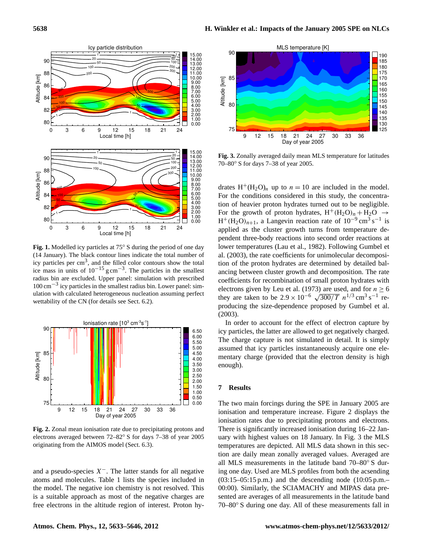

<span id="page-5-1"></span>**Fig. 1.** Modelled icy particles at 75◦ S during the period of one day (14 January). The black contour lines indicate the total number of icy particles per  $\text{cm}^3$ , and the filled color contours show the total ice mass in units of  $10^{-15}$  g cm<sup>-3</sup>. The particles in the smallest radius bin are excluded. Upper panel: simulation with prescribed 100 cm−<sup>3</sup> icy particles in the smallest radius bin. Lower panel: simulation with calculated heterogeneous nucleation assuming perfect wettability of the CN (for details see Sect. [6.2\)](#page-3-2).



<span id="page-5-2"></span>**Fig. 2.** Zonal mean ionisation rate due to precipitating protons and electrons averaged between 72–82◦ S for days 7–38 of year 2005 originating from the AIMOS model (Sect. [6.3\)](#page-4-0).

and a pseudo-species  $X^-$ . The latter stands for all negative atoms and molecules. Table [1](#page-4-1) lists the species included in the model. The negative ion chemistry is not resolved. This is a suitable approach as most of the negative charges are free electrons in the altitude region of interest. Proton hy-



<span id="page-5-3"></span>**Fig. 3.** Zonally averaged daily mean MLS temperature for latitudes 70–80◦ S for days 7–38 of year 2005.

drates  $H^+(H_2O)_n$  up to  $n = 10$  are included in the model. For the conditions considered in this study, the concentration of heavier proton hydrates turned out to be negligible. For the growth of proton hydrates,  $H^+(H_2O)_n + H_2O \rightarrow$  $H^+(H_2O)_{n+1}$ , a Langevin reaction rate of  $10^{-9}$  cm<sup>3</sup> s<sup>-1</sup> is applied as the cluster growth turns from temperature dependent three-body reactions into second order reactions at lower temperatures [\(Lau et al.,](#page-11-27) [1982\)](#page-11-27). Following [Gumbel et](#page-11-18) [al.](#page-11-18) [\(2003\)](#page-11-18), the rate coefficients for unimolecular decomposition of the proton hydrates are determined by detailed balancing between cluster growth and decomposition. The rate coefficients for recombination of small proton hydrates with electrons given by [Leu et al.](#page-11-28) [\(1973\)](#page-11-28) are used, and for  $n \ge 6$ electrons given by Leu et al. (1973) are used, and for  $n \ge 0$ <br>they are taken to be  $2.9 \times 10^{-6} \sqrt{300/T} n^{1/3} \text{ cm}^3 \text{ s}^{-1}$  reproducing the size-dependence proposed by [Gumbel et al.](#page-11-18) [\(2003\)](#page-11-18).

In order to account for the effect of electron capture by icy particles, the latter are allowed to get negatively charged. The charge capture is not simulated in detail. It is simply assumed that icy particles instantaneously acquire one elementary charge (provided that the electron density is high enough).

#### <span id="page-5-0"></span>**7 Results**

The two main forcings during the SPE in January 2005 are ionisation and temperature increase. Figure [2](#page-5-2) displays the ionisation rates due to precipitating protons and electrons. There is significantly increased ionisation during 16–22 January with highest values on 18 January. In Fig. [3](#page-5-3) the MLS temperatures are depicted. All MLS data shown in this section are daily mean zonally averaged values. Averaged are all MLS measurements in the latitude band 70–80◦ S during one day. Used are MLS profiles from both the acsending  $(03:15-05:15 \text{ p.m.})$  and the descending node  $(10:05 \text{ p.m.})$ 00:00). Similarly, the SCIAMACHY and MIPAS data presented are averages of all measurements in the latitude band 70–80◦ S during one day. All of these measurements fall in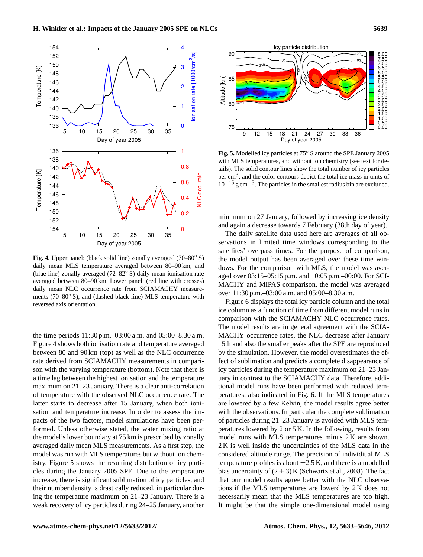

<span id="page-6-0"></span>**Fig. 4.** Upper panel: (black solid line) zonally averaged (70–80◦ S) daily mean MLS temperature averaged between 80–90 km, and (blue line) zonally averaged (72–82◦ S) daily mean ionisation rate averaged between 80–90 km. Lower panel: (red line with crosses) daily mean NLC occurrence rate from SCIAMACHY measurements (70–80◦ S), and (dashed black line) MLS temperature with reversed axis orientation.

the time periods 11:30 p.m.–03:00 a.m. and 05:00–8.30 a.m. Figure [4](#page-6-0) shows both ionisation rate and temperature averaged between 80 and 90 km (top) as well as the NLC occurrence rate derived from SCIAMACHY measurements in comparison with the varying temperature (bottom). Note that there is a time lag between the highest ionisation and the temperature maximum on 21–23 January. There is a clear anti-correlation of temperature with the observed NLC occurrence rate. The latter starts to decrease after 15 January, when both ionisation and temperature increase. In order to assess the impacts of the two factors, model simulations have been performed. Unless otherwise stated, the water mixing ratio at the model's lower boundary at 75 km is prescribed by zonally averaged daily mean MLS measurements. As a first step, the model was run with MLS temperatures but without ion chemistry. Figure [5](#page-6-1) shows the resulting distribution of icy particles during the January 2005 SPE. Due to the temperature increase, there is significant sublimation of icy particles, and their number density is drastically reduced, in particular during the temperature maximum on 21–23 January. There is a weak recovery of icy particles during 24–25 January, another



<span id="page-6-1"></span>**Fig. 5.** Modelled icy particles at 75◦ S around the SPE January 2005 with MLS temperatures, and without ion chemistry (see text for details). The solid contour lines show the total number of icy particles per  $\text{cm}^3$ , and the color contours depict the total ice mass in units of  $10^{-15}$  g cm<sup>-3</sup>. The particles in the smallest radius bin are excluded.

minimum on 27 January, followed by increasing ice density and again a decrease towards 7 February (38th day of year).

The daily satellite data used here are averages of all observations in limited time windows corresponding to the satellites' overpass times. For the purpose of comparison, the model output has been averaged over these time windows. For the comparison with MLS, the model was averaged over 03:15–05:15 p.m. and 10:05 p.m.–00:00. For SCI-MACHY and MIPAS comparison, the model was averaged over 11:30 p.m.–03:00 a.m. and 05:00–8.30 a.m.

Figure [6](#page-7-0) displays the total icy particle column and the total ice column as a function of time from different model runs in comparison with the SCIAMACHY NLC occurrence rates. The model results are in general agreement with the SCIA-MACHY occurrence rates, the NLC decrease after January 15th and also the smaller peaks after the SPE are reproduced by the simulation. However, the model overestimates the effect of sublimation and predicts a complete disappearance of icy particles during the temperature maximum on 21–23 January in contrast to the SCIAMACHY data. Therefore, additional model runs have been performed with reduced temperatures, also indicated in Fig. [6.](#page-7-0) If the MLS temperatures are lowered by a few Kelvin, the model results agree better with the observations. In particular the complete sublimation of particles during 21–23 January is avoided with MLS temperatures lowered by 2 or 5 K. In the following, results from model runs with MLS temperatures minus 2 K are shown. 2 K is well inside the uncertainties of the MLS data in the considered altitude range. The precision of individiual MLS temperature profiles is about  $\pm 2.5$  K, and there is a modelled bias uncertainty of  $(2 \pm 3)$  K [\(Schwartz et al.,](#page-12-15) [2008\)](#page-12-15). The fact that our model results agree better with the NLC observations if the MLS temperatures are lowerd by 2 K does not necessarily mean that the MLS temperatures are too high. It might be that the simple one-dimensional model using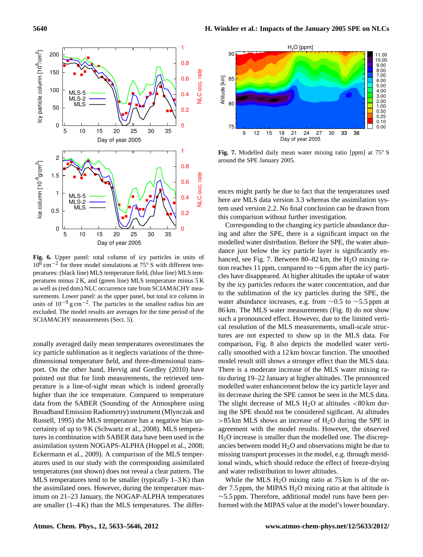

<span id="page-7-0"></span>**Fig. 6.** Upper panel: total column of icy particles in units of  $10^6$  cm<sup>-2</sup> for three model simulations at 75° S with different temperatures: (black line) MLS temperature field, (blue line) MLS temperatures minus 2 K, and (green line) MLS temperature minus 5 K as well as (red dots) NLC occurrence rate from SCIAMACHY measurements. Lower panel: as the upper panel, but total ice column in units of  $10^{-9}$  g cm<sup>-2</sup>. The particles in the smallest radius bin are excluded. The model results are averages for the time period of the SCIAMACHY measurements (Sect. [5\)](#page-2-3).

zonally averaged daily mean temperatures overestimates the icy particle sublimation as it neglects variations of the threedimensional temperature field, and three-dimensional transport. On the other hand, [Hervig and Gordley](#page-11-29) [\(2010\)](#page-11-29) have pointed out that for limb measurements, the retrieved temperature is a line-of-sight mean which is indeed generally higher than the ice temperature. Compared to temperature data from the SABER (Sounding of the Atmosphere using Broadband Emission Radiometry) instrument [\(Mlynczak and](#page-11-30) [Russell,](#page-11-30) [1995\)](#page-11-30) the MLS temperature has a negative bias uncertainty of up to 9 K [\(Schwartz et al.,](#page-12-15) [2008\)](#page-12-15). MLS temperatures in combination with SABER data have been used in the assimilation system NOGAPS-ALPHA [\(Hoppel et al.,](#page-11-31) [2008;](#page-11-31) [Eckermann et al.,](#page-10-9) [2009\)](#page-10-9). A comparison of the MLS temperatures used in our study with the corresponding assimilated temperatures (not shown) does not reveal a clear pattern. The MLS temperatures tend to be smaller (typically  $1-3K$ ) than the assimilated ones. However, during the temperature maximum on 21–23 January, the NOGAP-ALPHA temperatures are smaller (1–4 K) than the MLS temperatures. The differ-



<span id="page-7-1"></span>**Fig. 7.** Modelled daily mean water mixing ratio [ppm] at 75◦ S around the SPE January 2005.

ences might partly be due to fact that the temperatures used here are MLS data version 3.3 whereas the assimilation system used version 2.2. No final conclusion can be drawn from this comparison without further investigation.

Corresponding to the changing icy particle abundance during and after the SPE, there is a significant impact on the modelled water distribution. Before the SPE, the water abundance just below the icy particle layer is significantly en-hanced, see Fig. [7.](#page-7-1) Between  $80-82 \text{ km}$ , the H<sub>2</sub>O mixing ration reaches 11 ppm, compared to ∼6 ppm after the icy particles have disappeared. At higher altitudes the uptake of water by the icy particles reduces the water concentration, and due to the sublimation of the icy particles during the SPE, the water abundance increases, e.g. from  $\sim$ 0.5 to  $\sim$ 5.5 ppm at 86 km. The MLS water measurements (Fig. [8\)](#page-8-0) do not show such a pronounced effect. However, due to the limited vertical resolution of the MLS measurements, small-scale structures are not expected to show up in the MLS data. For comparison, Fig. [8](#page-8-0) also depicts the modelled water vertically smoothed with a 12 km boxcar function. The smoothed model result still shows a stronger effect than the MLS data. There is a moderate increase of the MLS water mixing ratio during 19–22 January at higher altitudes. The pronounced modelled water enhancement below the icy particle layer and its decrease during the SPE cannot be seen in the MLS data. The slight decrease of MLS  $H<sub>2</sub>O$  at altitudes <80 km during the SPE should not be considered sigificant. At altitudes  $>85$  km MLS shows an increase of H<sub>2</sub>O during the SPE in agreement with the model results. However, the observed H2O increase is smaller than the modelled one. The discrepancies between model  $H_2O$  and observations might be due to missing transport processes in the model, e.g. through meridional winds, which should reduce the effect of freeze-drying and water redistribution to lower altitudes.

While the MLS  $H<sub>2</sub>O$  mixing ratio at 75 km is of the order 7.5 ppm, the MIPAS  $H_2O$  mixing ratio at that altitude is ∼5.5 ppm. Therefore, additional model runs have been performed with the MIPAS value at the model's lower boundary.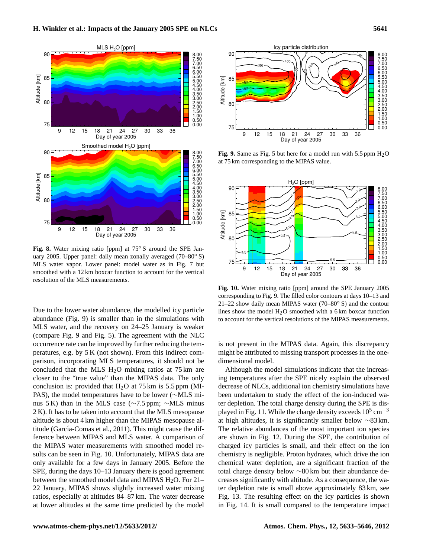

<span id="page-8-0"></span>**Fig. 8.** Water mixing ratio [ppm] at 75◦ S around the SPE January 2005. Upper panel: daily mean zonally averaged (70–80◦ S) MLS water vapor. Lower panel: model water as in Fig. [7](#page-7-1) but smoothed with a 12 km boxcar function to account for the vertical resolution of the MLS measurements.

Due to the lower water abundance, the modelled icy particle abundance (Fig. [9\)](#page-8-1) is smaller than in the simulations with MLS water, and the recovery on 24–25 January is weaker (compare Fig. [9](#page-8-1) and Fig. [5\)](#page-6-1). The agreement with the NLC occurrence rate can be improved by further reducing the temperatures, e.g. by 5 K (not shown). From this indirect comparison, incorporating MLS temperatures, it should not be concluded that the MLS H2O mixing ratios at 75 km are closer to the "true value" than the MIPAS data. The only conclusion is: provided that  $H_2O$  at 75 km is 5.5 ppm (MI-PAS), the model temperatures have to be lower (∼MLS minus 5 K) than in the MLS case (∼7.5 ppm; ∼MLS minus 2 K). It has to be taken into account that the MLS mesopause altitude is about 4 km higher than the MIPAS mesopause al-titude (García-Comas et al., [2011\)](#page-11-32). This might cause the difference between MIPAS and MLS water. A comparison of the MIPAS water measurements with smoothed model results can be seen in Fig. [10.](#page-8-2) Unfortunately, MIPAS data are only available for a few days in January 2005. Before the SPE, during the days 10–13 January there is good agreement between the smoothed model data and MIPAS  $H<sub>2</sub>O$ . For 21– 22 January, MIPAS shows slightly increased water mixing ratios, especially at altitudes 84–87 km. The water decrease at lower altitudes at the same time predicted by the model



<span id="page-8-1"></span>**Fig. 9.** Same as Fig. [5](#page-6-1) but here for a model run with 5.5 ppm  $H_2O$ at 75 km corresponding to the MIPAS value.



<span id="page-8-2"></span>**Fig. 10.** Water mixing ratio [ppm] around the SPE January 2005 corresponding to Fig. [9.](#page-8-1) The filled color contours at days 10–13 and 21–22 show daily mean MIPAS water  $(70-80° S)$  and the contour lines show the model  $H<sub>2</sub>O$  smoothed with a 6 km boxcar function to account for the vertical resolutions of the MIPAS measurements.

is not present in the MIPAS data. Again, this discrepancy might be attributed to missing transport processes in the onedimensional model.

Although the model simulations indicate that the increasing temperatures after the SPE nicely explain the observed decrease of NLCs, additional ion chemistry simulations have been undertaken to study the effect of the ion-induced water depletion. The total charge density during the SPE is dis-played in Fig. [11.](#page-9-0) While the charge density exceeds  $10^5$  cm<sup>-3</sup> at high altitudes, it is significantly smaller below ∼83 km. The relative abundances of the most important ion species are shown in Fig. [12.](#page-9-1) During the SPE, the contribution of charged icy particles is small, and their effect on the ion chemistry is negligible. Proton hydrates, which drive the ion chemical water depletion, are a significant fraction of the total charge density below ∼80 km but their abundance decreases significantly with altitude. As a consequence, the water depletion rate is small above approximately 83 km, see Fig. [13.](#page-9-2) The resulting effect on the icy particles is shown in Fig. [14.](#page-9-3) It is small compared to the temperature impact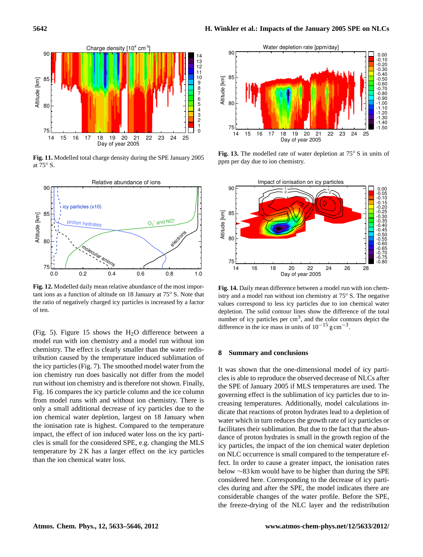

<span id="page-9-0"></span>**Fig. 11.** Modelled total charge density during the SPE January 2005 at 75◦ S.



<span id="page-9-1"></span>**Fig. 12.** Modelled daily mean relative abundance of the most important ions as a function of altitude on 18 January at 75◦ S. Note that the ratio of negatively charged icy particles is increased by a factor of ten.

(Fig. [5\)](#page-6-1). Figure [15](#page-10-10) shows the  $H_2O$  difference between a model run with ion chemistry and a model run without ion chemistry. The effect is clearly smaller than the water redistribution caused by the temperature induced sublimation of the icy particles (Fig. [7\)](#page-7-1). The smoothed model water from the ion chemistry run does basically not differ from the model run without ion chemistry and is therefore not shown. Finally, Fig. [16](#page-10-11) compares the icy particle column and the ice column from model runs with and without ion chemistry. There is only a small additional decrease of icy particles due to the ion chemical water depletion, largest on 18 January when the ionisation rate is highest. Compared to the temperature impact, the effect of ion induced water loss on the icy particles is small for the considered SPE, e.g. changing the MLS temperature by 2 K has a larger effect on the icy particles than the ion chemical water loss.



<span id="page-9-2"></span>**Fig. 13.** The modelled rate of water depletion at 75◦ S in units of ppm per day due to ion chemistry.



<span id="page-9-3"></span>**Fig. 14.** Daily mean difference between a model run with ion chemistry and a model run without ion chemistry at 75◦ S. The negative values correspond to less icy particles due to ion chemical water depletion. The solid contour lines show the difference of the total number of icy particles per  $\text{cm}^3$ , and the color contours depict the difference in the ice mass in units of  $10^{-15}$  g cm<sup>-3</sup>.

## **8 Summary and conclusions**

It was shown that the one-dimensional model of icy particles is able to reproduce the observed decrease of NLCs after the SPE of January 2005 if MLS temperatures are used. The governing effect is the sublimation of icy particles due to increasing temperatures. Additionally, model calculations indicate that reactions of proton hydrates lead to a depletion of water which in turn reduces the growth rate of icy particles or facilitates their sublimation. But due to the fact that the abundance of proton hydrates is small in the growth region of the icy particles, the impact of the ion chemical water depletion on NLC occurrence is small compared to the temperature effect. In order to cause a greater impact, the ionisation rates below ∼83 km would have to be higher than during the SPE considered here. Corresponding to the decrease of icy particles during and after the SPE, the model indicates there are considerable changes of the water profile. Before the SPE, the freeze-drying of the NLC layer and the redistribution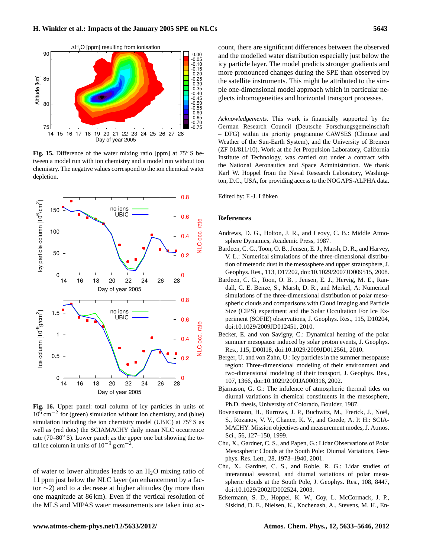

<span id="page-10-10"></span>**Fig. 15.** Difference of the water mixing ratio [ppm] at 75◦ S between a model run with ion chemistry and a model run without ion chemistry. The negative values correspond to the ion chemical water depletion.



<span id="page-10-11"></span>**Fig. 16.** Upper panel: total column of icy particles in units of 10<sup>6</sup> cm−<sup>2</sup> for (green) simulation without ion chemistry, and (blue) simulation including the ion chemistry model (UBIC) at 75° S as well as (red dots) the SCIAMACHY daily mean NLC occurrence rate (70–80◦ S). Lower panel: as the upper one but showing the total ice column in units of  $10^{-9}$  g cm<sup>-2</sup>.

of water to lower altitudes leads to an  $H_2O$  mixing ratio of 11 ppm just below the NLC layer (an enhancement by a factor ∼2) and to a decrease at higher altitudes (by more than one magnitude at 86 km). Even if the vertical resolution of the MLS and MIPAS water measurements are taken into account, there are significant differences between the observed and the modelled water distribution especially just below the icy particle layer. The model predicts stronger gradients and more pronounced changes during the SPE than observed by the satellite instruments. This might be attributed to the simple one-dimensional model approach which in particular neglects inhomogeneities and horizontal transport processes.

*Acknowledgements.* This work is financially supported by the German Research Council (Deutsche Forschungsgemeinschaft – DFG) within its priority programme CAWSES (Climate and Weather of the Sun-Earth System), and the University of Bremen (ZF 01/811/10). Work at the Jet Propulsion Laboratory, California Institute of Technology, was carried out under a contract with the National Aeronautics and Space Administration. We thank Karl W. Hoppel from the Naval Research Laboratory, Washington, D.C., USA, for providing access to the NOGAPS-ALPHA data.

Edited by: F.-J. Lübken

## **References**

- <span id="page-10-6"></span>Andrews, D. G., Holton, J. R., and Leovy, C. B.: Middle Atmosphere Dynamics, Academic Press, 1987.
- <span id="page-10-4"></span>Bardeen, C. G., Toon, O. B., Jensen, E. J., Marsh, D. R., and Harvey, V. L.: Numerical simulations of the three-dimensional distribution of meteoric dust in the mesosphere and upper stratosphere, J. Geophys. Res., 113, D17202, [doi:10.1029/2007JD009515,](http://dx.doi.org/10.1029/2007JD009515) 2008.
- <span id="page-10-2"></span>Bardeen, C. G., Toon, O. B. , Jensen, E. J., Hervig, M. E., Randall, C. E. Benze, S., Marsh, D. R., and Merkel, A: Numerical simulations of the three-dimensional distribution of polar mesospheric clouds and comparisons with Cloud Imaging and Particle Size (CIPS) experiment and the Solar Occultation For Ice Experiment (SOFIE) observations, J. Geophys. Res., 115, D10204, [doi:10.1029/2009JD012451,](http://dx.doi.org/10.1029/2009JD012451) 2010.
- <span id="page-10-1"></span>Becker, E. and von Savigny, C.: Dynamical heating of the polar summer mesopause induced by solar proton events, J. Geophys. Res., 115, D00I18, [doi:10.1029/2009JD012561,](http://dx.doi.org/10.1029/2009JD012561) 2010.
- <span id="page-10-0"></span>Berger, U. and von Zahn, U.: Icy particles in the summer mesopause region: Three-dimensional modeling of their environment and two-dimensional modeling of their transport, J. Geophys. Res., 107, 1366, [doi:10.1029/2001JA000316,](http://dx.doi.org/10.1029/2001JA000316) 2002.
- <span id="page-10-8"></span>Bjarnason, G. G.: The infulence of atmospheric thermal tides on diurnal variations in chemical constituents in the mesosphere, Ph.D. thesis, University of Colorado, Boulder, 1987.
- <span id="page-10-5"></span>Bovensmann, H., Burrows, J. P., Buchwitz, M., Frerick, J., Noël, S., Rozanov, V. V., Chance, K. V., and Goede, A. P. H.: SCIA-MACHY: Mission objectives and measurement modes, J. Atmos. Sci., 56, 127–150, 1999.
- <span id="page-10-7"></span>Chu, X., Gardner, C. S., and Papen, G.: Lidar Observations of Polar Mesospheric Clouds at the South Pole: Diurnal Variations, Geophys. Res. Lett., 28, 1973–1940, 2001.
- <span id="page-10-3"></span>Chu, X., Gardner, C. S., and Roble, R. G.: Lidar studies of interannual seasonal, and diurnal variations of polar mesospheric clouds at the South Pole, J. Geophys. Res., 108, 8447, [doi:10.1029/2002JD002524,](http://dx.doi.org/10.1029/2002JD002524) 2003.
- <span id="page-10-9"></span>Eckermann, S. D., Hoppel, K. W., Coy, L. McCormack, J. P., Siskind, D. E., Nielsen, K., Kochenash, A., Stevens, M. H., En-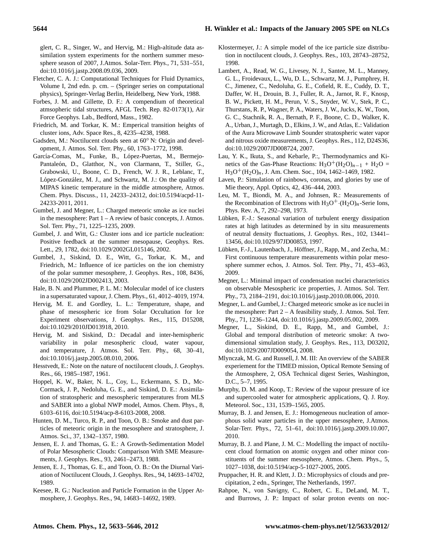# **5644 H. Winkler et al.: Impacts of the January 2005 SPE on NLCs**

glert, C. R., Singer, W., and Hervig, M.: High-altitude data assimilation system experiments for the northern summer mesosphere season of 2007, J.Atmos. Solar-Terr. Phys., 71, 531–551, [doi:10.1016/j.jastp.2008.09.036,](http://dx.doi.org/10.1016/j.jastp.2008.09.036) 2009.

- <span id="page-11-23"></span>Fletcher, C. A. J.: Computational Techniques for Fluid Dynamics, Volume I, 2nd edn. p. cm. – (Springer series on computational physics), Springer-Verlag Berlin, Heidelberg, New York, 1988.
- <span id="page-11-26"></span>Forbes, J. M. and Gillette, D. F.: A compendium of theoretical atmsopheric tidal structures, AFGL Tech. Rep. 82-0173(1), Air Force Geophys. Lab., Bedford, Mass., 1982.
- <span id="page-11-19"></span>Friedrich, M. and Torkar, K. M.: Emperical transition heights of cluster ions, Adv. Space Res., 8, 4235–4238, 1988.
- <span id="page-11-9"></span>Gadsden, M.: Noctilucent clouds seen at 60<sup>°</sup> N: Origin and development, J. Atmos. Sol. Terr. Phy., 60, 1763–1772, 1998.
- <span id="page-11-32"></span>García-Comas, M., Funke, B., López-Puertas, M., Bermejo-Pantaleón, D., Glatthor, N., von Clarmann, T., Stiller, G., Grabowski, U., Boone, C. D., French, W. J. R., Leblanc, T., López-González, M. J., and Schwartz, M. J.: On the quality of MIPAS kinetic temperature in the middle atmosphere, Atmos. Chem. Phys. Discuss., 11, 24233–24312, [doi:10.5194/acpd-11-](http://dx.doi.org/10.5194/acpd-11-24233-2011) [24233-2011,](http://dx.doi.org/10.5194/acpd-11-24233-2011) 2011.
- <span id="page-11-3"></span>Gumbel, J. and Megner, L.: Charged meteoric smoke as ice nuclei in the mesosphere: Part 1 – A review of basic concepts, J. Atmos. Sol. Terr. Phy., 71, 1225–1235, 2009.
- <span id="page-11-20"></span>Gumbel, J. and Witt, G.: Cluster ions and ice particle nucleation: Positive feedback at the summer mesopause, Geophys. Res. Lett., 29, 1782, [doi:10.1029/2002GL015146,](http://dx.doi.org/10.1029/2002GL015146) 2002.
- <span id="page-11-18"></span>Gumbel, J., Siskind, D. E., Witt, G., Torkar, K. M., and Friedrich, M.: Influence of ice particles on the ion chemistry of the polar summer mesosphere, J. Geophys. Res., 108, 8436, [doi:10.1029/2002JD002413,](http://dx.doi.org/10.1029/2002JD002413) 2003.
- <span id="page-11-11"></span>Hale, B. N. and Plummer, P. L. M.: Molecular model of ice clusters in a supersaturated vapour, J. Chem. Phys., 61, 4012–4019, 1974.
- <span id="page-11-29"></span>Hervig, M. E. and Gordley, L. L.: Temperature, shape, and phase of mesospheric ice from Solar Occultation for Ice Experiment observations, J. Geophys. Res., 115, D15208, [doi:10.1029/2010JD013918,](http://dx.doi.org/10.1029/2010JD013918) 2010.
- <span id="page-11-6"></span>Hervig, M. and Siskind, D.: Decadal and inter-hemispheric variability in polar mesospheric cloud, water vapour, and temperature, J. Atmos. Sol. Terr. Phy., 68, 30–41, [doi:10.1016/j.jastp.2005.08.010,](http://dx.doi.org/10.1016/j.jastp.2005.08.010) 2006.
- <span id="page-11-8"></span>Hesstvedt, E.: Note on the nature of noctilucent clouds, J. Geophys. Res., 66, 1985–1987, 1961.
- <span id="page-11-31"></span>Hoppel, K. W., Baker, N. L., Coy, L., Eckermann, S. D., Mc-Cormack, J. P., Nedoluha, G. E., and Siskind, D. E.: Assimilation of stratospheric and mesospheric temperatures from MLS and SABER into a global NWP model, Atmos. Chem. Phys., 8, 6103–6116, [doi:10.5194/acp-8-6103-2008,](http://dx.doi.org/10.5194/acp-8-6103-2008) 2008.
- <span id="page-11-15"></span>Hunten, D. M., Turco, R. P., and Toon, O. B.: Smoke and dust particles of meteoric origin in the mesosphere and stratosphere, J. Atmos. Sci., 37, 1342–1357, 1980.
- <span id="page-11-0"></span>Jensen, E. J. and Thomas, G. E.: A Growth-Sedimentation Model of Polar Mesospheric Clouds: Comparison With SME Measurements, J. Geophys. Res., 93, 2461–2473, 1988.
- <span id="page-11-5"></span>Jensen, E. J., Thomas, G. E., and Toon, O. B.: On the Diurnal Variation of Noctilucent Clouds, J. Geophys. Res., 94, 14693–14702, 1989.
- <span id="page-11-12"></span>Keesee, R. G.: Nucleation and Particle Formation in the Upper Atmosphere, J. Geophys. Res., 94, 14683–14692, 1989.
- <span id="page-11-16"></span>Klostermeyer, J.: A simple model of the ice particle size distribution in noctilucent clouds, J. Geophys. Res., 103, 28743–28752, 1998.
- <span id="page-11-21"></span>Lambert, A., Read, W. G., Livesey, N. J., Santee, M. L., Manney, G. L., Froidevaux, L., Wu, D. L., Schwartz, M. J., Pumphrey, H. C., Jimenez, C., Nedoluha, G. E., Cofield, R. E., Cuddy, D. T., Daffer, W. H., Drouin, B. J., Fuller, R. A., Jarnot, R. F., Knosp, B. W., Pickett, H. M., Perun, V. S., Snyder, W. V., Stek, P. C., Thurstans, R. P., Wagner, P. A., Waters, J. W., Jucks, K. W., Toon, G. C., Stachnik, R. A., Bernath, P. F., Boone, C. D., Walker, K. A., Urban, J., Murtagh, D., Elkins, J. W., and Atlas, E.: Validation of the Aura Microwave Limb Sounder stratospheric water vapor and nitrous oxide measurements, J. Geophys. Res., 112, D24S36, [doi:10.1029/2007JD008724,](http://dx.doi.org/10.1029/2007JD008724) 2007.
- <span id="page-11-27"></span>Lau, Y. K., Ikuta, S., and Kebarle, P.:, Thermodynamics and Kinetics of the Gas-Phase Reactions:  $H_3O^+(H_2O)_{n-1} + H_2O =$  $H_3O^+(H_2O)_n$ , J. Am. Chem. Soc., 104, 1462–1469, 1982.
- <span id="page-11-25"></span>Laven, P.: Simulation of rainbows, coronas, and glories by use of Mie theory, Appl. Optics, 42, 436–444, 2003.
- <span id="page-11-28"></span>Leu, M. T., Biondi, M. A., and Johnsen, R.: Measurements of the Recombination of Electrons with  $H_3O^+(H_2O)_n$ -Serie Ions, Phys. Rev. A, 7, 292–298, 1973.
- <span id="page-11-22"></span>Lübken, F.-J.: Seasonal variation of turbulent energy dissipation rates at high latitudes as determined by in situ measurements of neutral density fluctuations, J. Geophys. Res., 102, 13441– 13456, [doi:10.1029/97JD00853,](http://dx.doi.org/10.1029/97JD00853) 1997.
- <span id="page-11-1"></span>Lübken, F.-J., Lautenbach, J., Höffner, J., Rapp, M., and Zecha, M.: First continuous temperature measurements within polar mesosphere summer echos, J. Atmos. Sol. Terr. Phy., 71, 453–463, 2009.
- <span id="page-11-14"></span>Megner, L.: Minimal impact of condensation nuclei characteristics on observable Mesospheric ice properties, J. Atmos. Sol. Terr. Phy., 73, 2184–2191, [doi:10.1016/j.jastp.2010.08.006,](http://dx.doi.org/10.1016/j.jastp.2010.08.006) 2010.
- <span id="page-11-4"></span>Megner, L. and Gumbel, J.: Charged meteoric smoke as ice nuclei in the mesosphere: Part  $2 - A$  feasibility study, J. Atmos. Sol. Terr. Phy., 71, 1236–1244, [doi:10.1016/j.jastp.2009.05.002,](http://dx.doi.org/10.1016/j.jastp.2009.05.002) 2009.
- <span id="page-11-17"></span>Megner, L., Siskind, D. E., Rapp, M., and Gumbel, J.: Global and temporal distribution of meteoric smoke: A twodimensional simulation study, J. Geophys. Res., 113, D03202, [doi:10.1029/2007JD009054,](http://dx.doi.org/10.1029/2007JD009054) 2008.
- <span id="page-11-30"></span>Mlynczak, M. G. and Russell, J. M. III: An overview of the SABER experiement for the TIMED mission, Optical Remote Sensing of the Atmosphere, 2, OSA Technical digest Series, Washington, D.C., 5–7, 1995.
- <span id="page-11-10"></span>Murphy, D. M. and Koop, T.: Review of the vapour pressure of ice and supercooled water for atmospheric applications, Q. J. Roy. Meteorol. Soc., 131, 1539–1565, 2005.
- <span id="page-11-2"></span>Murray, B. J. and Jensen, E. J.: Homogeneous nucleation of amorphous solid water particles in the upper mesosphere, J.Atmos. Solar-Terr. Phys., 72, 51–61, [doi:10.1016/j.jastp.2009.10.007,](http://dx.doi.org/10.1016/j.jastp.2009.10.007) 2010.
- <span id="page-11-24"></span>Murray, B. J. and Plane, J. M. C.: Modelling the impact of noctilucent cloud formation on atomic oxygen and other minor constituents of the summer mesosphere, Atmos. Chem. Phys., 5, 1027–1038, [doi:10.5194/acp-5-1027-2005,](http://dx.doi.org/10.5194/acp-5-1027-2005) 2005.
- <span id="page-11-13"></span>Pruppacher, H. R. and Klett, J. D.: Microphysics of clouds and precipitation, 2 edn., Springer, The Netherlands, 1997.
- <span id="page-11-7"></span>Rahpoe, N., von Savigny, C., Robert, C. E., DeLand, M. T., and Burrows, J. P.: Impact of solar proton events on noc-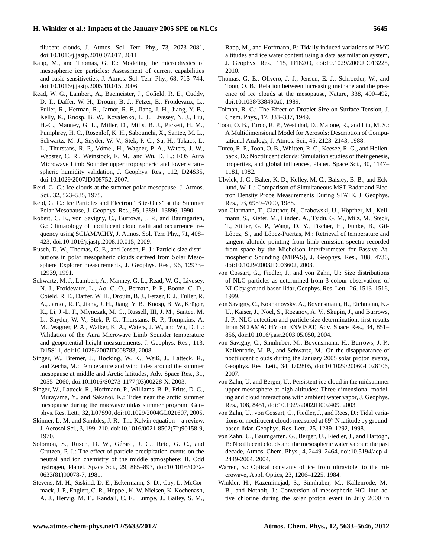# **H. Winkler et al.: Impacts of the January 2005 SPE on NLCs 5645**

tilucent clouds, J. Atmos. Sol. Terr. Phy., 73, 2073–2081, [doi:10.1016/j.jastp.2010.07.017,](http://dx.doi.org/10.1016/j.jastp.2010.07.017) 2011.

- <span id="page-12-11"></span>Rapp, M., and Thomas, G. E.: Modeling the microphysics of mesospheric ice particles: Assessment of current capabilities and basic sensitiveties, J. Atmos. Sol. Terr. Phy., 68, 715–744, [doi:10.1016/j.jastp.2005.10.015,](http://dx.doi.org/10.1016/j.jastp.2005.10.015) 2006.
- <span id="page-12-16"></span>Read, W. G., Lambert, A., Bacmeister, J., Cofield, R. E., Cuddy, D. T., Daffer, W. H., Drouin, B. J., Fetzer, E., Froidevaux, L., Fuller, R., Herman, R., Jarnot, R. F., Jiang, J. H., Jiang, Y. B., Kelly, K., Knosp, B. W., Kovalenko, L. J., Livesey, N. J., Liu, H.-C., Manney, G. L., Miller, D., Mills, B. J., Pickett, H. M., Pumphrey, H. C., Rosenlof, K. H., Sabounchi, X., Santee, M. L., Schwartz, M. J., Snyder, W. V., Stek, P. C., Su, H., Takacs, L. L., Thurstans, R. P., Vömel, H., Wagner, P. A., Waters, J. W., Webster, C. R., Weinstock, E. M., and Wu, D. L.: EOS Aura Microwave Limb Sounder upper tropospheric and lower stratospheric humidity validation, J. Geophys. Res., 112, D24S35, [doi:10.1029/2007JD008752,](http://dx.doi.org/10.1029/2007JD008752) 2007.
- <span id="page-12-21"></span>Reid, G. C.: Ice clouds at the summer polar mesopause, J. Atmos. Sci., 32, 523–535, 1975.
- <span id="page-12-13"></span>Reid, G. C.: Ice Particles and Electron "Bite-Outs" at the Summer Polar Mesopause, J. Geophys. Res., 95, 13891–13896, 1990.
- <span id="page-12-3"></span>Robert, C. E., von Savigny, C., Burrows, J. P., and Baumgarten, G.: Climatology of noctilucent cloud radii and occurrence frequency using SCIAMACHY, J. Atmos. Sol. Terr. Phy., 71, 408– 423, [doi:10.1016/j.jastp.2008.10.015,](http://dx.doi.org/10.1016/j.jastp.2008.10.015) 2009.
- <span id="page-12-1"></span>Rusch, D. W., Thomas, G. E., and Jensen, E. J.: Particle size distributions in polar mesopsheric clouds derived from Solar Mesosphere Explorer measurements, J. Geophys. Res., 96, 12933– 12939, 1991.
- <span id="page-12-15"></span>Schwartz, M. J., Lambert, A., Manney, G. L., Read, W. G., Livesey, N. J., Froidevaux, L., Ao, C. O., Bernath, P. F., Boone, C. D., Coield, R. E., Daffer, W. H., Drouin, B. J., Fetzer, E. J., Fuller, R. A., Jarnot, R. F., Jiang, J. H., Jiang, Y. B., Knosp, B. W., Krüger, K., Li, J.-L. F., Mlynczak, M. G., Russell, III, J. M., Santee, M. L., Snyder, W. V., Stek, P. C., Thurstans, R. P., Tompkins, A. M., Wagner, P. A., Walker, K. A., Waters, J. W., and Wu, D. L.: Validation of the Aura Microwave Limb Sounder temperature and geopotential height measurements, J. Geophys. Res., 113, D15S11, [doi:10.1029/2007JD008783,](http://dx.doi.org/10.1029/2007JD008783) 2008.
- <span id="page-12-24"></span>Singer, W., Bremer, J., Hocking, W. K., Weiß, J., Latteck, R., and Zecha, M.: Temperature and wind tides around the summer mesopause at middle and Arctic latitudes, Adv. Space Res., 31, 2055–2060, [doi:10.1016/S0273-1177\(03\)00228-X,](http://dx.doi:10.1016/S0273-1177(03)00228-X) 2003.
- <span id="page-12-22"></span>Singer, W., Latteck, R., Hoffmann, P., Williams, B. P., Fritts, D. C., Murayama, Y., and Sakanoi, K.: Tides near the arctic summer mesopause during the macwave/midas summer program, Geophys. Res. Lett., 32, L07S90, [doi:10.1029/2004GL021607,](http://dx.doi.org/10.1029/2004GL021607) 2005.
- <span id="page-12-9"></span>Skinner, L. M. and Sambles, J. R.: The Kelvin equation – a review, J. Aerosol Sci., 3, 199–210, [doi:10.1016/0021-8502\(72\)90158-9,](http://dx.doi.org/10.1016/0021-8502(72)90158-9) 1970.
- <span id="page-12-8"></span>Solomon, S., Rusch, D. W., Gérard, J. C., Reid, G. C., and Crutzen, P. J.: The effect of particle precipitation events on the neutral and ion chemistry of the middle atmosphere: II. Odd hydrogen, Planet. Space Sci., 29, 885–893, [doi:10.1016/0032-](http://dx.doi.org/10.1016/0032-0633(81)90078-7) [0633\(81\)90078-7,](http://dx.doi.org/10.1016/0032-0633(81)90078-7) 1981.
- <span id="page-12-25"></span>Stevens, M. H., Siskind, D. E., Eckermann, S. D., Coy, L. McCormack, J. P., Englert, C. R., Hoppel, K. W. Nielsen, K. Kochenash, A. J., Hervig, M. E., Randall, C. E., Lumpe, J., Bailey, S. M.,

Rapp, M., and Hoffmann, P.: Tidally induced variations of PMC altitudes and ice water content using a data assimilation system, J. Geophys. Res., 115, D18209, [doi:10.1029/2009JD013225,](http://dx.doi:10.1029/2009JD013225) 2010.

- <span id="page-12-5"></span>Thomas, G. E., Olivero, J. J., Jensen, E. J., Schroeder, W., and Toon, O. B.: Relation between increasing methane and the presence of ice clouds at the mesopause, Nature, 338, 490–492, [doi:10.1038/338490a0,](http://dx.doi.org/10.1038/338490a0) 1989.
- <span id="page-12-10"></span>Tolman, R. C.: The Effect of Droplet Size on Surface Tension, J. Chem. Phys., 17, 333–337, 1949.
- <span id="page-12-19"></span>Toon, O. B., Turco, R. P., Westphal, D., Malone, R., and Liu, M. S.: A Multidimensional Model for Aerosols: Description of Computational Analogs, J. Atmos. Sci., 45, 2123–2143, 1988.
- <span id="page-12-0"></span>Turco, R. P., Toon, O. B., Whitten, R. C., Keesee, R. G., and Hollenback, D.: Noctilucent clouds: Simulation studies of their genesis, properties, and global influences, Planet. Space Sci., 30, 1147– 1181, 1982.
- <span id="page-12-12"></span>Ulwick, J. C., Baker, K. D., Kelley, M. C., Balsley, B. B., and Ecklund, W. L.: Comparison of Simultaneous MST Radar and Electron Density Probe Measurements During STATE, J. Geophys. Res., 93, 6989–7000, 1988.
- <span id="page-12-17"></span>von Clarmann, T., Glatthor, N., Grabowski, U., Höpfner, M., Kellmann, S., Kiefer, M., Linden, A., Tsidu, G. M., Milz, M., Steck, T., Stiller, G. P., Wang, D. Y., Fischer, H., Funke, B., Gil-López, S., and López-Puertas, M.: Retrieval of temperature and tangent altitude pointing from limb emission spectra recorded from space by the Michelson Interferometer for Passive Atmospheric Sounding (MIPAS), J. Geophys. Res., 108, 4736, [doi:10.1029/2003JD003602,](http://dx.doi.org/10.1029/2003JD003602) 2003.
- <span id="page-12-2"></span>von Cossart, G., Fiedler, J., and von Zahn, U.: Size distributions of NLC particles as determined from 3-colour observations of NLC by ground-based lidar, Geophys. Res. Lett., 26, 1513–1516, 1999.
- <span id="page-12-14"></span>von Savigny, C., Kokhanovsky, A., Bovensmann, H., Eichmann, K.- U., Kaiser, J., Nöel, S., Rozanov, A. V., Skupin, J., and Burrows, J. P.: NLC detection and particle size determination: first results from SCIAMACHY on ENVISAT, Adv. Space Res., 34, 851– 856, [doi:10.1016/j.asr.2003.05.050,](http://dx.doi.org/10.1016/j.asr.2003.05.050) 2004.
- <span id="page-12-7"></span>von Savigny, C., Sinnhuber, M., Bovensmann, H., Burrows, J. P., Kallenrode, M.-B., and Schwartz, M.: On the disappearance of noctilucent clouds during the January 2005 solar proton events, Geophys. Res. Lett., 34, L02805, [doi:10.1029/2006GL028106,](http://dx.doi.org/10.1029/2006GL028106) 2007.
- <span id="page-12-4"></span>von Zahn, U. and Berger, U.: Persistent ice cloud in the midsummer upper mesosphere at high altitudes: Three-dimensional modeling and cloud interactions with ambient water vapor, J. Geophys. Res., 108, 8451, [doi:10.1029/2002JD002409,](http://dx.doi.org/10.1029/2002JD002409) 2003.
- <span id="page-12-23"></span>von Zahn, U., von Cossart, G., Fiedler, J., and Rees, D.: Tidal variations of noctilucent clouds measured at 69◦ N latitude by groundbased lidar, Geophys. Res. Lett., 25, 1289–1292, 1998.
- <span id="page-12-6"></span>von Zahn, U., Baumgarten, G., Berger, U., Fiedler, J., and Hartogh, P.: Noctilucent clouds and the mesospheric water vapour: the past decade, Atmos. Chem. Phys., 4, 2449–2464, [doi:10.5194/acp-4-](http://dx.doi.org/10.5194/acp-4-2449-2004) [2449-2004,](http://dx.doi.org/10.5194/acp-4-2449-2004) 2004.
- <span id="page-12-20"></span>Warren, S.: Optical constants of ice from ultraviolet to the microwave, Appl. Optics, 23, 1206–1225, 1984.
- <span id="page-12-18"></span>Winkler, H., Kazeminejad, S., Sinnhuber, M., Kallenrode, M.- B., and Notholt, J.: Conversion of mesospheric HCl into active chlorine during the solar proton event in July 2000 in